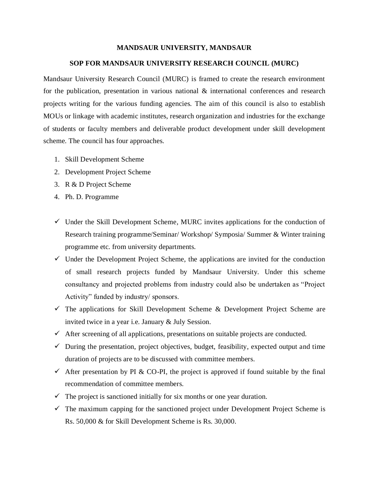## **MANDSAUR UNIVERSITY, MANDSAUR**

## **SOP FOR MANDSAUR UNIVERSITY RESEARCH COUNCIL (MURC)**

Mandsaur University Research Council (MURC) is framed to create the research environment for the publication, presentation in various national & international conferences and research projects writing for the various funding agencies. The aim of this council is also to establish MOUs or linkage with academic institutes, research organization and industries for the exchange of students or faculty members and deliverable product development under skill development scheme. The council has four approaches.

- 1. Skill Development Scheme
- 2. Development Project Scheme
- 3. R & D Project Scheme
- 4. Ph. D. Programme
- $\checkmark$  Under the Skill Development Scheme, MURC invites applications for the conduction of Research training programme/Seminar/ Workshop/ Symposia/ Summer & Winter training programme etc. from university departments.
- $\checkmark$  Under the Development Project Scheme, the applications are invited for the conduction of small research projects funded by Mandsaur University. Under this scheme consultancy and projected problems from industry could also be undertaken as "Project Activity" funded by industry/ sponsors.
- $\checkmark$  The applications for Skill Development Scheme & Development Project Scheme are invited twice in a year i.e. January & July Session.
- $\checkmark$  After screening of all applications, presentations on suitable projects are conducted.
- $\checkmark$  During the presentation, project objectives, budget, feasibility, expected output and time duration of projects are to be discussed with committee members.
- $\checkmark$  After presentation by PI & CO-PI, the project is approved if found suitable by the final recommendation of committee members.
- $\checkmark$  The project is sanctioned initially for six months or one year duration.
- $\checkmark$  The maximum capping for the sanctioned project under Development Project Scheme is Rs. 50,000 & for Skill Development Scheme is Rs. 30,000.